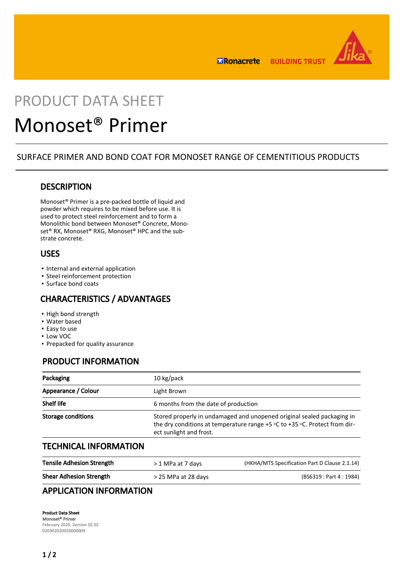

**ERonacrete BUILDING TRUST** 

## PRODUCT DATA SHEET

# Monoset® Primer

#### SURFACE PRIMER AND BOND COAT FOR MONOSET RANGE OF CEMENTITIOUS PRODUCTS

#### **DESCRIPTION**

Monoset® Primer is a pre-packed bottle of liquid and powder which requires to be mixed before use. It is used to protect steel reinforcement and to form a Monolithic bond between Monoset® Concrete, Monoset<sup>®</sup> RX, Monoset® RXG, Monoset® HPC and the substrate concrete.

#### USES

- Internal and external application
- **Steel reinforcement protection**
- Surface bond coats

## CHARACTERISTICS / ADVANTAGES

- High bond strength
- Water based
- Easy to use
- Low VOC
- Prepacked for quality assurance

#### PRODUCT INFORMATION

| 10 $kg$ /pack                                                                                                                                                                   |
|---------------------------------------------------------------------------------------------------------------------------------------------------------------------------------|
| Light Brown                                                                                                                                                                     |
| 6 months from the date of production                                                                                                                                            |
| Stored properly in undamaged and unopened original sealed packaging in<br>the dry conditions at temperature range +5 °C to +35 °C. Protect from dir-<br>ect sunlight and frost. |
|                                                                                                                                                                                 |

#### TECHNICAL INFORMATION

| <b>Tensile Adhesion Strength</b> | > 1 MPa at 7 days   | (HKHA/MTS Specification Part D Clause 2.1.14) |
|----------------------------------|---------------------|-----------------------------------------------|
| <b>Shear Adhesion Strength</b>   | > 25 MPa at 28 days | (BS6319 : Part 4 : 1984)                      |

#### APPLICATION INFORMATION

Product Data Sheet Monoset® Primer February 2020, Version 02.02 020302020020000009